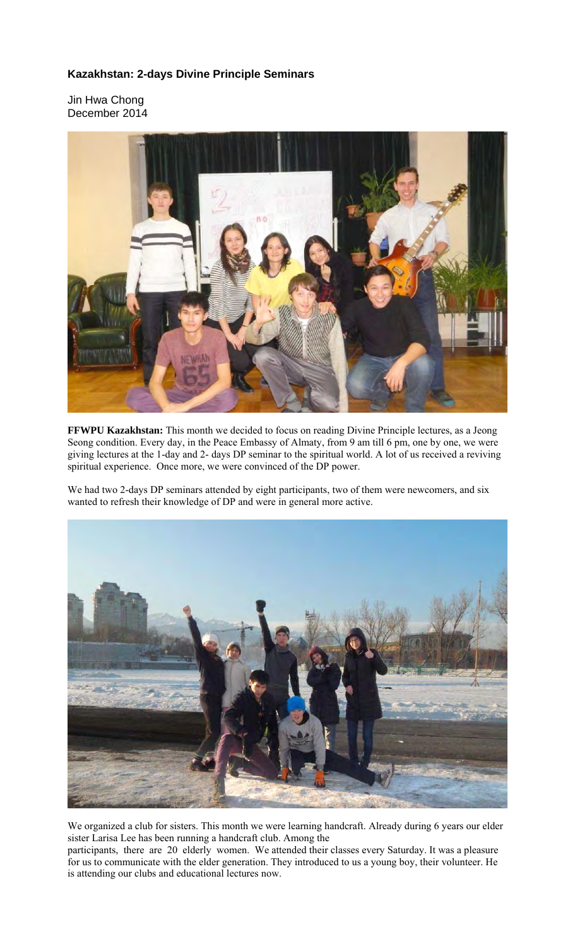## **Kazakhstan: 2-days Divine Principle Seminars**

Jin Hwa Chong December 2014



**FFWPU Kazakhstan:** This month we decided to focus on reading Divine Principle lectures, as a Jeong Seong condition. Every day, in the Peace Embassy of Almaty, from 9 am till 6 pm, one by one, we were giving lectures at the 1-day and 2- days DP seminar to the spiritual world. A lot of us received a reviving spiritual experience. Once more, we were convinced of the DP power.

We had two 2-days DP seminars attended by eight participants, two of them were newcomers, and six wanted to refresh their knowledge of DP and were in general more active.



We organized a club for sisters. This month we were learning handcraft. Already during 6 years our elder sister Larisa Lee has been running a handcraft club. Among the

participants, there are 20 elderly women. We attended their classes every Saturday. It was a pleasure for us to communicate with the elder generation. They introduced to us a young boy, their volunteer. He is attending our clubs and educational lectures now.